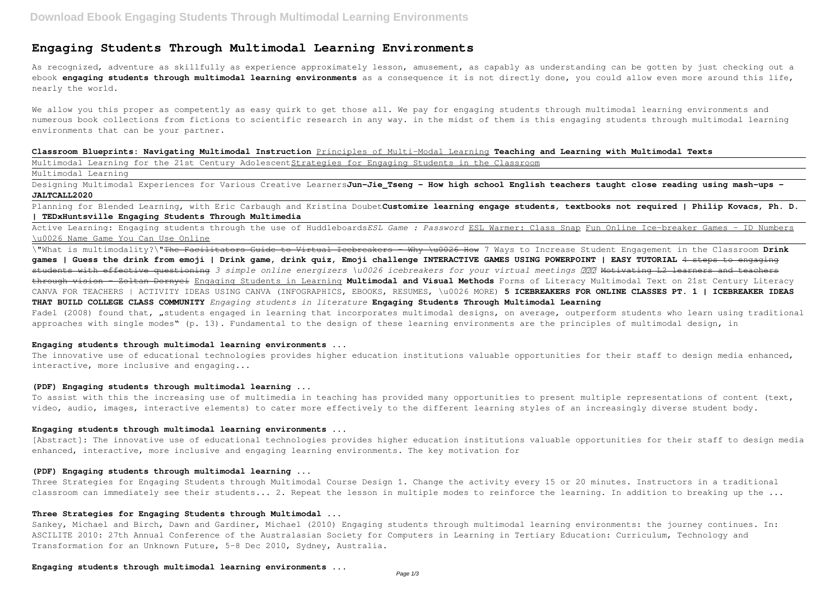# **Engaging Students Through Multimodal Learning Environments**

As recognized, adventure as skillfully as experience approximately lesson, amusement, as capably as understanding can be gotten by just checking out a ebook **engaging students through multimodal learning environments** as a consequence it is not directly done, you could allow even more around this life, nearly the world.

We allow you this proper as competently as easy quirk to get those all. We pay for engaging students through multimodal learning environments and numerous book collections from fictions to scientific research in any way. in the midst of them is this engaging students through multimodal learning environments that can be your partner.

**Classroom Blueprints: Navigating Multimodal Instruction** Principles of Multi-Modal Learning **Teaching and Learning with Multimodal Texts** Multimodal Learning for the 21st Century AdolescentStrategies for Engaging Students in the Classroom

Designing Multimodal Experiences for Various Creative LearnersJun-Jie Tseng - How high school English teachers taught close reading using mash-ups -**JALTCALL2020**

# Multimodal Learning

Planning for Blended Learning, with Eric Carbaugh and Kristina Doubet**Customize learning engage students, textbooks not required | Philip Kovacs, Ph. D. | TEDxHuntsville Engaging Students Through Multimedia**

The innovative use of educational technologies provides higher education institutions valuable opportunities for their staff to design media enhanced, interactive, more inclusive and engaging...

Active Learning: Engaging students through the use of Huddleboards*ESL Game : Password* ESL Warmer: Class Snap Fun Online Ice-breaker Games - ID Numbers \u0026 Name Game You Can Use Online

Three Strategies for Engaging Students through Multimodal Course Design 1. Change the activity every 15 or 20 minutes. Instructors in a traditional classroom can immediately see their students... 2. Repeat the lesson in multiple modes to reinforce the learning. In addition to breaking up the ...

\"What is multimodality?\"The Facilitators Guide to Virtual Icebreakers - Why \u0026 How 7 Ways to Increase Student Engagement in the Classroom **Drink games | Guess the drink from emoji | Drink game, drink quiz, Emoji challenge INTERACTIVE GAMES USING POWERPOINT | EASY TUTORIAL** 4 steps to engaging students with effective questioning 3 simple online energizers \u0026 icebreakers for your virtual meetings *888* Motivating L2 learners and teachers through vision - Zoltan Dornyei Engaging Students in Learning **Multimodal and Visual Methods** Forms of Literacy Multimodal Text on 21st Century Literacy CANVA FOR TEACHERS | ACTIVITY IDEAS USING CANVA (INFOGRAPHICS, EBOOKS, RESUMES, \u0026 MORE) **5 ICEBREAKERS FOR ONLINE CLASSES PT. 1 | ICEBREAKER IDEAS THAT BUILD COLLEGE CLASS COMMUNITY** *Engaging students in literature* **Engaging Students Through Multimodal Learning** Fadel (2008) found that, "students engaged in learning that incorporates multimodal designs, on average, outperform students who learn using traditional approaches with single modes" (p. 13). Fundamental to the design of these learning environments are the principles of multimodal design, in

# **Engaging students through multimodal learning environments ...**

#### **(PDF) Engaging students through multimodal learning ...**

To assist with this the increasing use of multimedia in teaching has provided many opportunities to present multiple representations of content (text, video, audio, images, interactive elements) to cater more effectively to the different learning styles of an increasingly diverse student body.

#### **Engaging students through multimodal learning environments ...**

[Abstract]: The innovative use of educational technologies provides higher education institutions valuable opportunities for their staff to design media enhanced, interactive, more inclusive and engaging learning environments. The key motivation for

#### **(PDF) Engaging students through multimodal learning ...**

#### **Three Strategies for Engaging Students through Multimodal ...**

Sankey, Michael and Birch, Dawn and Gardiner, Michael (2010) Engaging students through multimodal learning environments: the journey continues. In: ASCILITE 2010: 27th Annual Conference of the Australasian Society for Computers in Learning in Tertiary Education: Curriculum, Technology and Transformation for an Unknown Future, 5-8 Dec 2010, Sydney, Australia.

**Engaging students through multimodal learning environments ...**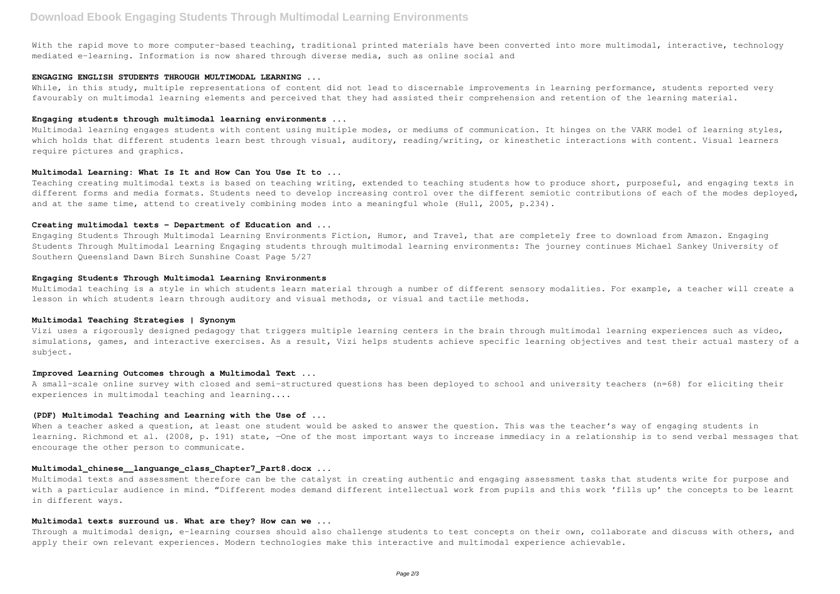With the rapid move to more computer-based teaching, traditional printed materials have been converted into more multimodal, interactive, technology mediated e-learning. Information is now shared through diverse media, such as online social and

While, in this study, multiple representations of content did not lead to discernable improvements in learning performance, students reported very favourably on multimodal learning elements and perceived that they had assisted their comprehension and retention of the learning material.

#### **ENGAGING ENGLISH STUDENTS THROUGH MULTIMODAL LEARNING ...**

# **Engaging students through multimodal learning environments ...**

Multimodal learning engages students with content using multiple modes, or mediums of communication. It hinges on the VARK model of learning styles, which holds that different students learn best through visual, auditory, reading/writing, or kinesthetic interactions with content. Visual learners require pictures and graphics.

Multimodal teaching is a style in which students learn material through a number of different sensory modalities. For example, a teacher will create a lesson in which students learn through auditory and visual methods, or visual and tactile methods.

#### **Multimodal Learning: What Is It and How Can You Use It to ...**

Teaching creating multimodal texts is based on teaching writing, extended to teaching students how to produce short, purposeful, and engaging texts in different forms and media formats. Students need to develop increasing control over the different semiotic contributions of each of the modes deployed, and at the same time, attend to creatively combining modes into a meaningful whole (Hull, 2005, p.234).

#### **Creating multimodal texts - Department of Education and ...**

When a teacher asked a question, at least one student would be asked to answer the question. This was the teacher's way of engaging students in learning. Richmond et al. (2008, p. 191) state, -One of the most important ways to increase immediacy in a relationship is to send verbal messages that encourage the other person to communicate.

Engaging Students Through Multimodal Learning Environments Fiction, Humor, and Travel, that are completely free to download from Amazon. Engaging Students Through Multimodal Learning Engaging students through multimodal learning environments: The journey continues Michael Sankey University of Southern Queensland Dawn Birch Sunshine Coast Page 5/27

#### **Engaging Students Through Multimodal Learning Environments**

Through a multimodal design, e-learning courses should also challenge students to test concepts on their own, collaborate and discuss with others, and apply their own relevant experiences. Modern technologies make this interactive and multimodal experience achievable.

# **Multimodal Teaching Strategies | Synonym**

Vizi uses a rigorously designed pedagogy that triggers multiple learning centers in the brain through multimodal learning experiences such as video, simulations, games, and interactive exercises. As a result, Vizi helps students achieve specific learning objectives and test their actual mastery of a subject.

#### **Improved Learning Outcomes through a Multimodal Text ...**

A small-scale online survey with closed and semi-structured questions has been deployed to school and university teachers (n=68) for eliciting their experiences in multimodal teaching and learning....

#### **(PDF) Multimodal Teaching and Learning with the Use of ...**

# **Multimodal\_chinese\_\_languange\_class\_Chapter7\_Part8.docx ...**

Multimodal texts and assessment therefore can be the catalyst in creating authentic and engaging assessment tasks that students write for purpose and with a particular audience in mind. "Different modes demand different intellectual work from pupils and this work 'fills up' the concepts to be learnt in different ways.

# **Multimodal texts surround us. What are they? How can we ...**